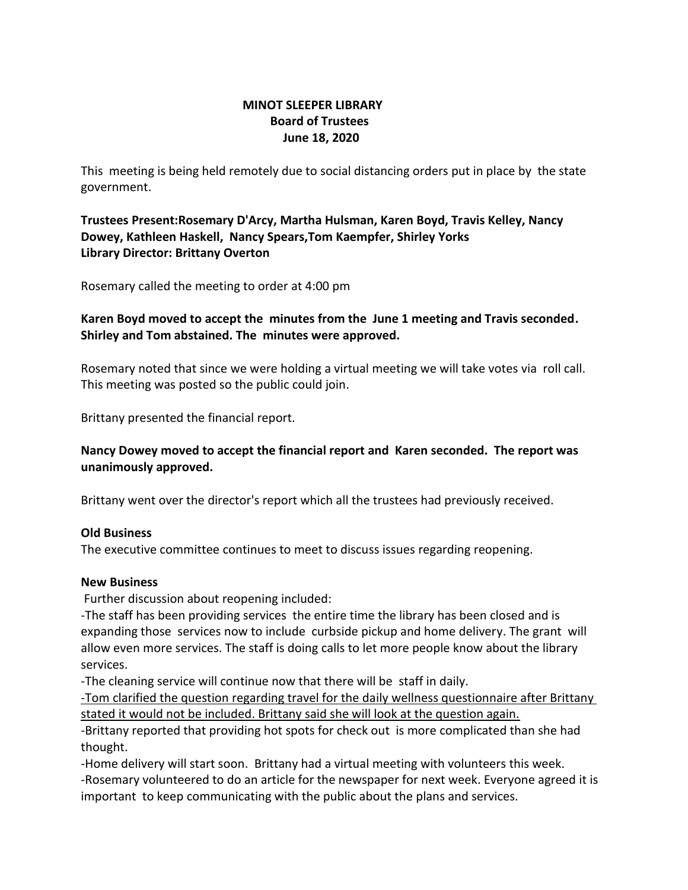## **MINOT SLEEPER LIBRARY Board of Trustees June 18, 2020**

This meeting is being held remotely due to social distancing orders put in place by the state government.

**Trustees Present:Rosemary D'Arcy, Martha Hulsman, Karen Boyd, Travis Kelley, Nancy Dowey, Kathleen Haskell, Nancy Spears,Tom Kaempfer, Shirley Yorks Library Director: Brittany Overton** 

Rosemary called the meeting to order at 4:00 pm

## **Karen Boyd moved to accept the minutes from the June 1 meeting and Travis seconded. Shirley and Tom abstained. The minutes were approved.**

Rosemary noted that since we were holding a virtual meeting we will take votes via roll call. This meeting was posted so the public could join.

Brittany presented the financial report.

## **Nancy Dowey moved to accept the financial report and Karen seconded. The report was unanimously approved.**

Brittany went over the director's report which all the trustees had previously received.

#### **Old Business**

The executive committee continues to meet to discuss issues regarding reopening.

#### **New Business**

Further discussion about reopening included:

-The staff has been providing services the entire time the library has been closed and is expanding those services now to include curbside pickup and home delivery. The grant will allow even more services. The staff is doing calls to let more people know about the library services.

-The cleaning service will continue now that there will be staff in daily.

-Tom clarified the question regarding travel for the daily wellness questionnaire after Brittany stated it would not be included. Brittany said she will look at the question again.

-Brittany reported that providing hot spots for check out is more complicated than she had thought.

-Home delivery will start soon. Brittany had a virtual meeting with volunteers this week. -Rosemary volunteered to do an article for the newspaper for next week. Everyone agreed it is important to keep communicating with the public about the plans and services.